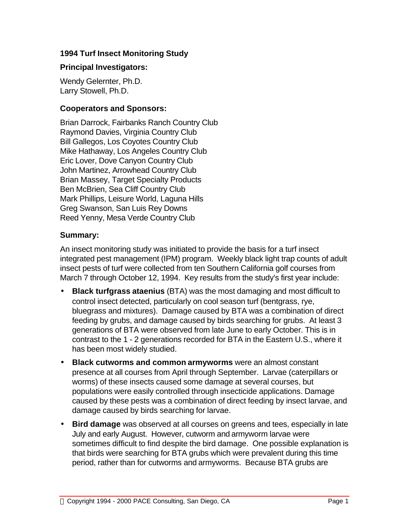### **1994 Turf Insect Monitoring Study**

#### **Principal Investigators:**

Wendy Gelernter, Ph.D. Larry Stowell, Ph.D.

#### **Cooperators and Sponsors:**

Brian Darrock, Fairbanks Ranch Country Club Raymond Davies, Virginia Country Club Bill Gallegos, Los Coyotes Country Club Mike Hathaway, Los Angeles Country Club Eric Lover, Dove Canyon Country Club John Martinez, Arrowhead Country Club Brian Massey, Target Specialty Products Ben McBrien, Sea Cliff Country Club Mark Phillips, Leisure World, Laguna Hills Greg Swanson, San Luis Rey Downs Reed Yenny, Mesa Verde Country Club

### **Summary:**

An insect monitoring study was initiated to provide the basis for a turf insect integrated pest management (IPM) program. Weekly black light trap counts of adult insect pests of turf were collected from ten Southern California golf courses from March 7 through October 12, 1994. Key results from the study's first year include:

- **Black turfgrass ataenius** (BTA) was the most damaging and most difficult to control insect detected, particularly on cool season turf (bentgrass, rye, bluegrass and mixtures). Damage caused by BTA was a combination of direct feeding by grubs, and damage caused by birds searching for grubs. At least 3 generations of BTA were observed from late June to early October. This is in contrast to the 1 - 2 generations recorded for BTA in the Eastern U.S., where it has been most widely studied.
- **Black cutworms and common armyworms** were an almost constant presence at all courses from April through September. Larvae (caterpillars or worms) of these insects caused some damage at several courses, but populations were easily controlled through insecticide applications. Damage caused by these pests was a combination of direct feeding by insect larvae, and damage caused by birds searching for larvae.
- **Bird damage** was observed at all courses on greens and tees, especially in late July and early August. However, cutworm and armyworm larvae were sometimes difficult to find despite the bird damage. One possible explanation is that birds were searching for BTA grubs which were prevalent during this time period, rather than for cutworms and armyworms. Because BTA grubs are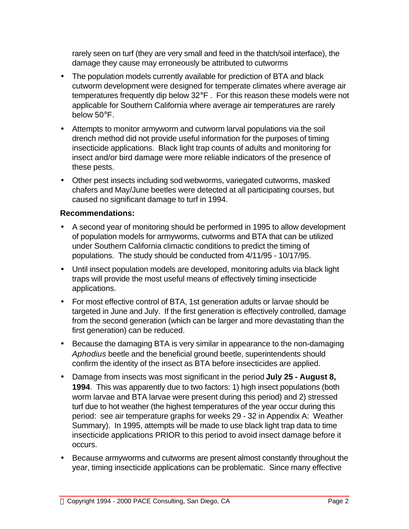rarely seen on turf (they are very small and feed in the thatch/soil interface), the damage they cause may erroneously be attributed to cutworms

- The population models currently available for prediction of BTA and black cutworm development were designed for temperate climates where average air temperatures frequently dip below 32°F . For this reason these models were not applicable for Southern California where average air temperatures are rarely below 50°F.
- Attempts to monitor armyworm and cutworm larval populations via the soil drench method did not provide useful information for the purposes of timing insecticide applications. Black light trap counts of adults and monitoring for insect and/or bird damage were more reliable indicators of the presence of these pests.
- Other pest insects including sod webworms, variegated cutworms, masked chafers and May/June beetles were detected at all participating courses, but caused no significant damage to turf in 1994.

### **Recommendations:**

- A second year of monitoring should be performed in 1995 to allow development of population models for armyworms, cutworms and BTA that can be utilized under Southern California climactic conditions to predict the timing of populations. The study should be conducted from 4/11/95 - 10/17/95.
- Until insect population models are developed, monitoring adults via black light traps will provide the most useful means of effectively timing insecticide applications.
- For most effective control of BTA, 1st generation adults or larvae should be targeted in June and July. If the first generation is effectively controlled, damage from the second generation (which can be larger and more devastating than the first generation) can be reduced.
- Because the damaging BTA is very similar in appearance to the non-damaging *Aphodius* beetle and the beneficial ground beetle, superintendents should confirm the identity of the insect as BTA before insecticides are applied.
- Damage from insects was most significant in the period **July 25 August 8, 1994**. This was apparently due to two factors: 1) high insect populations (both worm larvae and BTA larvae were present during this period) and 2) stressed turf due to hot weather (the highest temperatures of the year occur during this period: see air temperature graphs for weeks 29 - 32 in Appendix A: Weather Summary). In 1995, attempts will be made to use black light trap data to time insecticide applications PRIOR to this period to avoid insect damage before it occurs.
- Because armyworms and cutworms are present almost constantly throughout the year, timing insecticide applications can be problematic. Since many effective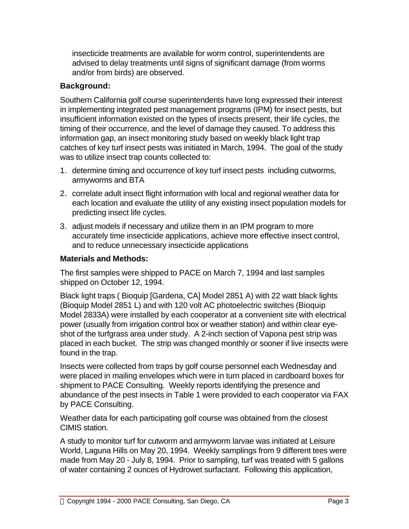insecticide treatments are available for worm control, superintendents are advised to delay treatments until signs of significant damage (from worms and/or from birds) are observed.

# **Background:**

Southern California golf course superintendents have long expressed their interest in implementing integrated pest management programs (IPM) for insect pests, but insufficient information existed on the types of insects present, their life cycles, the timing of their occurrence, and the level of damage they caused. To address this information gap, an insect monitoring study based on weekly black light trap catches of key turf insect pests was initiated in March, 1994. The goal of the study was to utilize insect trap counts collected to:

- 1. determine timing and occurrence of key turf insect pests including cutworms, armyworms and BTA
- 2. correlate adult insect flight information with local and regional weather data for each location and evaluate the utility of any existing insect population models for predicting insect life cycles.
- 3. adjust models if necessary and utilize them in an IPM program to more accurately time insecticide applications, achieve more effective insect control, and to reduce unnecessary insecticide applications

# **Materials and Methods:**

The first samples were shipped to PACE on March 7, 1994 and last samples shipped on October 12, 1994.

Black light traps ( Bioquip [Gardena, CA] Model 2851 A) with 22 watt black lights (Bioquip Model 2851 L) and with 120 volt AC photoelectric switches (Bioquip Model 2833A) were installed by each cooperator at a convenient site with electrical power (usually from irrigation control box or weather station) and within clear eyeshot of the turfgrass area under study. A 2-inch section of Vapona pest strip was placed in each bucket. The strip was changed monthly or sooner if live insects were found in the trap.

Insects were collected from traps by golf course personnel each Wednesday and were placed in mailing envelopes which were in turn placed in cardboard boxes for shipment to PACE Consulting. Weekly reports identifying the presence and abundance of the pest insects in Table 1 were provided to each cooperator via FAX by PACE Consulting.

Weather data for each participating golf course was obtained from the closest CIMIS station.

A study to monitor turf for cutworm and armyworm larvae was initiated at Leisure World, Laguna Hills on May 20, 1994. Weekly samplings from 9 different tees were made from May 20 - July 8, 1994. Prior to sampling, turf was treated with 5 gallons of water containing 2 ounces of Hydrowet surfactant. Following this application,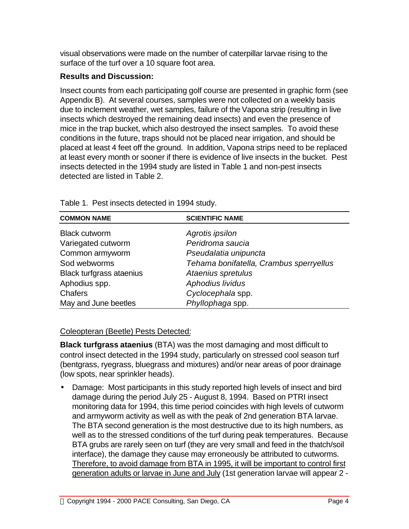visual observations were made on the number of caterpillar larvae rising to the surface of the turf over a 10 square foot area.

# **Results and Discussion:**

Insect counts from each participating golf course are presented in graphic form (see Appendix B). At several courses, samples were not collected on a weekly basis due to inclement weather, wet samples, failure of the Vapona strip (resulting in live insects which destroyed the remaining dead insects) and even the presence of mice in the trap bucket, which also destroyed the insect samples. To avoid these conditions in the future, traps should not be placed near irrigation, and should be placed at least 4 feet off the ground. In addition, Vapona strips need to be replaced at least every month or sooner if there is evidence of live insects in the bucket. Pest insects detected in the 1994 study are listed in Table 1 and non-pest insects detected are listed in Table 2.

| <b>COMMON NAME</b>              | <b>SCIENTIFIC NAME</b>                  |
|---------------------------------|-----------------------------------------|
| <b>Black cutworm</b>            | Agrotis ipsilon                         |
| Variegated cutworm              | Peridroma saucia                        |
| Common armyworm                 | Pseudalatia unipuncta                   |
| Sod webworms                    | Tehama bonifatella, Crambus sperryellus |
| <b>Black turfgrass ataenius</b> | Ataenius spretulus                      |
| Aphodius spp.                   | Aphodius lividus                        |
| <b>Chafers</b>                  | Cyclocephala spp.                       |
| May and June beetles            | Phyllophaga spp.                        |

Table 1. Pest insects detected in 1994 study.

## Coleopteran (Beetle) Pests Detected:

**Black turfgrass ataenius** (BTA) was the most damaging and most difficult to control insect detected in the 1994 study, particularly on stressed cool season turf (bentgrass, ryegrass, bluegrass and mixtures) and/or near areas of poor drainage (low spots, near sprinkler heads).

• Damage: Most participants in this study reported high levels of insect and bird damage during the period July 25 - August 8, 1994. Based on PTRI insect monitoring data for 1994, this time period coincides with high levels of cutworm and armyworm activity as well as with the peak of 2nd generation BTA larvae. The BTA second generation is the most destructive due to its high numbers, as well as to the stressed conditions of the turf during peak temperatures. Because BTA grubs are rarely seen on turf (they are very small and feed in the thatch/soil interface), the damage they cause may erroneously be attributed to cutworms. Therefore, to avoid damage from BTA in 1995, it will be important to control first generation adults or larvae in June and July (1st generation larvae will appear 2 -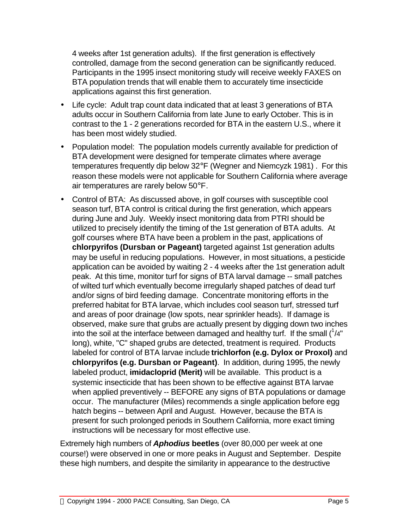4 weeks after 1st generation adults). If the first generation is effectively controlled, damage from the second generation can be significantly reduced. Participants in the 1995 insect monitoring study will receive weekly FAXES on BTA population trends that will enable them to accurately time insecticide applications against this first generation.

- Life cycle: Adult trap count data indicated that at least 3 generations of BTA adults occur in Southern California from late June to early October. This is in contrast to the 1 - 2 generations recorded for BTA in the eastern U.S., where it has been most widely studied.
- Population model: The population models currently available for prediction of BTA development were designed for temperate climates where average temperatures frequently dip below 32°F (Wegner and Niemcyzk 1981) . For this reason these models were not applicable for Southern California where average air temperatures are rarely below 50°F.
- Control of BTA: As discussed above, in golf courses with susceptible cool season turf, BTA control is critical during the first generation, which appears during June and July. Weekly insect monitoring data from PTRI should be utilized to precisely identify the timing of the 1st generation of BTA adults. At golf courses where BTA have been a problem in the past, applications of **chlorpyrifos (Dursban or Pageant)** targeted against 1st generation adults may be useful in reducing populations. However, in most situations, a pesticide application can be avoided by waiting 2 - 4 weeks after the 1st generation adult peak. At this time, monitor turf for signs of BTA larval damage -- small patches of wilted turf which eventually become irregularly shaped patches of dead turf and/or signs of bird feeding damage. Concentrate monitoring efforts in the preferred habitat for BTA larvae, which includes cool season turf, stressed turf and areas of poor drainage (low spots, near sprinkler heads). If damage is observed, make sure that grubs are actually present by digging down two inches into the soil at the interface between damaged and healthy turf. If the small  $(^{1}/4"$ long), white, "C" shaped grubs are detected, treatment is required. Products labeled for control of BTA larvae include **trichlorfon (e.g. Dylox or Proxol)** and **chlorpyrifos (e.g. Dursban or Pageant)**. In addition, during 1995, the newly labeled product, **imidacloprid (Merit)** will be available. This product is a systemic insecticide that has been shown to be effective against BTA larvae when applied preventively -- BEFORE any signs of BTA populations or damage occur. The manufacturer (Miles) recommends a single application before egg hatch begins -- between April and August. However, because the BTA is present for such prolonged periods in Southern California, more exact timing instructions will be necessary for most effective use.

Extremely high numbers of *Aphodius* **beetles** (over 80,000 per week at one course!) were observed in one or more peaks in August and September. Despite these high numbers, and despite the similarity in appearance to the destructive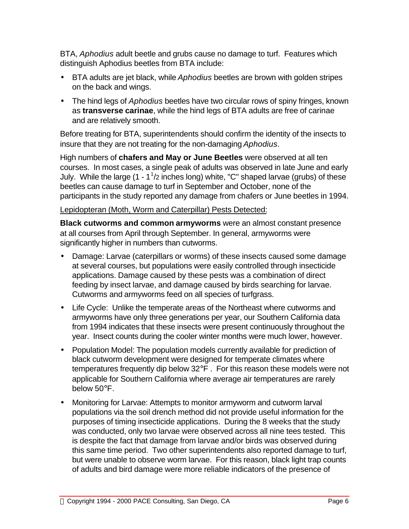BTA, *Aphodius* adult beetle and grubs cause no damage to turf. Features which distinguish Aphodius beetles from BTA include:

- BTA adults are jet black, while *Aphodius* beetles are brown with golden stripes on the back and wings.
- The hind legs of *Aphodius* beetles have two circular rows of spiny fringes, known as **transverse carinae**, while the hind legs of BTA adults are free of carinae and are relatively smooth.

Before treating for BTA, superintendents should confirm the identity of the insects to insure that they are not treating for the non-damaging *Aphodius*.

High numbers of **chafers and May or June Beetles** were observed at all ten courses. In most cases, a single peak of adults was observed in late June and early July. While the large (1 -  $1^{\frac{1}{2}}$  inches long) white, "C" shaped larvae (grubs) of these beetles can cause damage to turf in September and October, none of the participants in the study reported any damage from chafers or June beetles in 1994.

## Lepidopteran (Moth, Worm and Caterpillar) Pests Detected:

**Black cutworms and common armyworms** were an almost constant presence at all courses from April through September. In general, armyworms were significantly higher in numbers than cutworms.

- Damage: Larvae (caterpillars or worms) of these insects caused some damage at several courses, but populations were easily controlled through insecticide applications. Damage caused by these pests was a combination of direct feeding by insect larvae, and damage caused by birds searching for larvae. Cutworms and armyworms feed on all species of turfgrass.
- Life Cycle: Unlike the temperate areas of the Northeast where cutworms and armyworms have only three generations per year, our Southern California data from 1994 indicates that these insects were present continuously throughout the year. Insect counts during the cooler winter months were much lower, however.
- Population Model: The population models currently available for prediction of black cutworm development were designed for temperate climates where temperatures frequently dip below 32°F . For this reason these models were not applicable for Southern California where average air temperatures are rarely below 50°F.
- Monitoring for Larvae: Attempts to monitor armyworm and cutworm larval populations via the soil drench method did not provide useful information for the purposes of timing insecticide applications. During the 8 weeks that the study was conducted, only two larvae were observed across all nine tees tested. This is despite the fact that damage from larvae and/or birds was observed during this same time period. Two other superintendents also reported damage to turf, but were unable to observe worm larvae. For this reason, black light trap counts of adults and bird damage were more reliable indicators of the presence of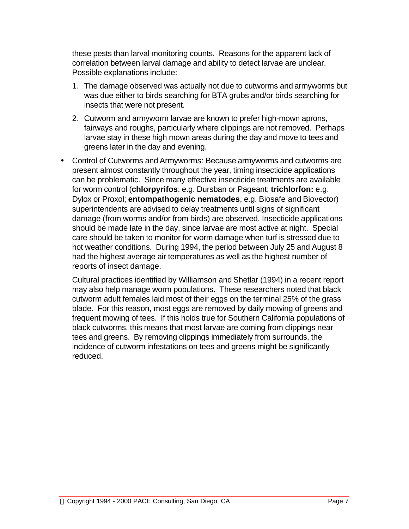these pests than larval monitoring counts. Reasons for the apparent lack of correlation between larval damage and ability to detect larvae are unclear. Possible explanations include:

- 1. The damage observed was actually not due to cutworms and armyworms but was due either to birds searching for BTA grubs and/or birds searching for insects that were not present.
- 2. Cutworm and armyworm larvae are known to prefer high-mown aprons, fairways and roughs, particularly where clippings are not removed. Perhaps larvae stay in these high mown areas during the day and move to tees and greens later in the day and evening.
- Control of Cutworms and Armyworms: Because armyworms and cutworms are present almost constantly throughout the year, timing insecticide applications can be problematic. Since many effective insecticide treatments are available for worm control (**chlorpyrifos**: e.g. Dursban or Pageant; **trichlorfon:** e.g. Dylox or Proxol; **entompathogenic nematodes**, e.g. Biosafe and Biovector) superintendents are advised to delay treatments until signs of significant damage (from worms and/or from birds) are observed. Insecticide applications should be made late in the day, since larvae are most active at night. Special care should be taken to monitor for worm damage when turf is stressed due to hot weather conditions. During 1994, the period between July 25 and August 8 had the highest average air temperatures as well as the highest number of reports of insect damage.

Cultural practices identified by Williamson and Shetlar (1994) in a recent report may also help manage worm populations. These researchers noted that black cutworm adult females laid most of their eggs on the terminal 25% of the grass blade. For this reason, most eggs are removed by daily mowing of greens and frequent mowing of tees. If this holds true for Southern California populations of black cutworms, this means that most larvae are coming from clippings near tees and greens. By removing clippings immediately from surrounds, the incidence of cutworm infestations on tees and greens might be significantly reduced.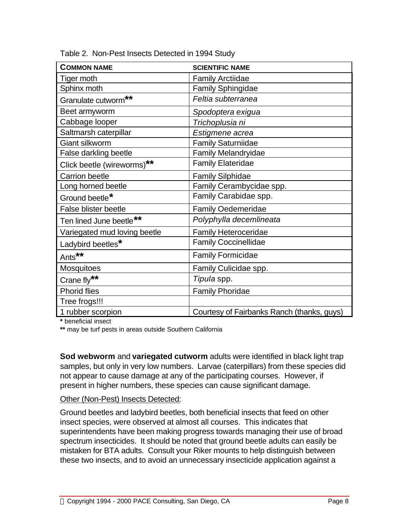| <b>COMMON NAME</b>           | <b>SCIENTIFIC NAME</b>                     |
|------------------------------|--------------------------------------------|
| Tiger moth                   | <b>Family Arctiidae</b>                    |
| Sphinx moth                  | <b>Family Sphingidae</b>                   |
| Granulate cutworm**          | Feltia subterranea                         |
| Beet armyworm                | Spodoptera exigua                          |
| Cabbage looper               | Trichoplusia ni                            |
| Saltmarsh caterpillar        | Estigmene acrea                            |
| Giant silkworm               | <b>Family Saturniidae</b>                  |
| False darkling beetle        | <b>Family Melandryidae</b>                 |
| Click beetle (wireworms)**   | <b>Family Elateridae</b>                   |
| <b>Carrion beetle</b>        | <b>Family Silphidae</b>                    |
| Long horned beetle           | Family Cerambycidae spp.                   |
| Ground beetle*               | Family Carabidae spp.                      |
| False blister beetle         | <b>Family Oedemeridae</b>                  |
| Ten lined June beetle**      | Polyphylla decemlineata                    |
| Variegated mud loving beetle | <b>Family Heteroceridae</b>                |
| Ladybird beetles*            | <b>Family Coccinellidae</b>                |
| Ants <sup>**</sup>           | <b>Family Formicidae</b>                   |
| Mosquitoes                   | Family Culicidae spp.                      |
| Crane fly**                  | Tipula spp.                                |
| <b>Phorid flies</b>          | <b>Family Phoridae</b>                     |
| Tree frogs!!!                |                                            |
| 1 rubber scorpion            | Courtesy of Fairbanks Ranch (thanks, guys) |

Table 2. Non-Pest Insects Detected in 1994 Study

**\*** beneficial insect

**\*\*** may be turf pests in areas outside Southern California

**Sod webworm** and **variegated cutworm** adults were identified in black light trap samples, but only in very low numbers. Larvae (caterpillars) from these species did not appear to cause damage at any of the participating courses. However, if present in higher numbers, these species can cause significant damage.

#### Other (Non-Pest) Insects Detected:

Ground beetles and ladybird beetles, both beneficial insects that feed on other insect species, were observed at almost all courses. This indicates that superintendents have been making progress towards managing their use of broad spectrum insecticides. It should be noted that ground beetle adults can easily be mistaken for BTA adults. Consult your Riker mounts to help distinguish between these two insects, and to avoid an unnecessary insecticide application against a